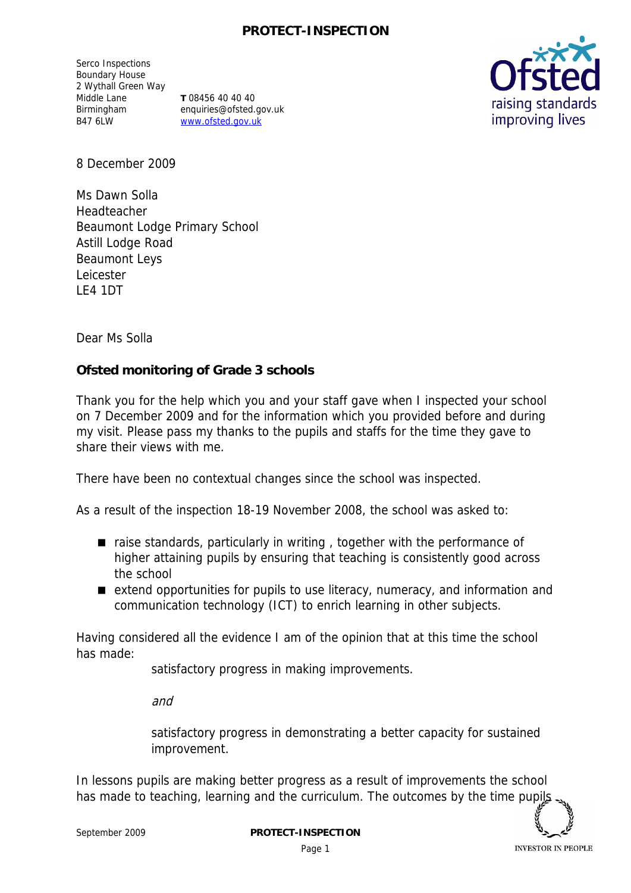Serco Inspections Boundary House 2 Wythall Green Way Middle Lane Birmingham B47 6LW

**T** 08456 40 40 40 enquiries@ofsted.gov.uk www.ofsted.gov.uk



8 December 2009

Ms Dawn Solla Headteacher Beaumont Lodge Primary School Astill Lodge Road Beaumont Leys Leicester LE4 1DT

Dear Ms Solla

**Ofsted monitoring of Grade 3 schools**

Thank you for the help which you and your staff gave when I inspected your school on 7 December 2009 and for the information which you provided before and during my visit. Please pass my thanks to the pupils and staffs for the time they gave to share their views with me.

There have been no contextual changes since the school was inspected.

As a result of the inspection 18-19 November 2008, the school was asked to:

- raise standards, particularly in writing, together with the performance of higher attaining pupils by ensuring that teaching is consistently good across the school
- extend opportunities for pupils to use literacy, numeracy, and information and communication technology (ICT) to enrich learning in other subjects.

Having considered all the evidence I am of the opinion that at this time the school has made:

satisfactory progress in making improvements.

and

satisfactory progress in demonstrating a better capacity for sustained improvement.

In lessons pupils are making better progress as a result of improvements the school has made to teaching, learning and the curriculum. The outcomes by the time pupil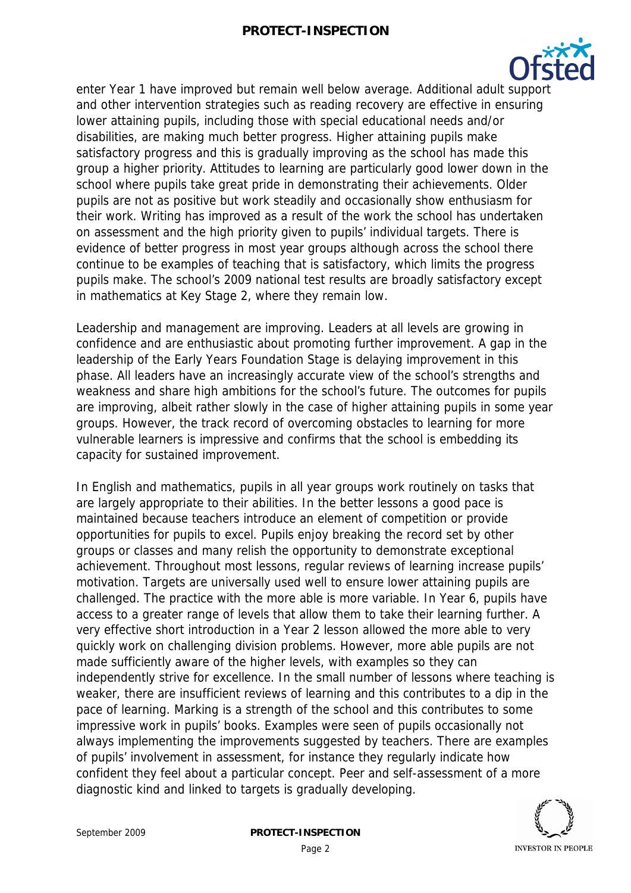

enter Year 1 have improved but remain well below average. Additional adult support and other intervention strategies such as reading recovery are effective in ensuring lower attaining pupils, including those with special educational needs and/or disabilities, are making much better progress. Higher attaining pupils make satisfactory progress and this is gradually improving as the school has made this group a higher priority. Attitudes to learning are particularly good lower down in the school where pupils take great pride in demonstrating their achievements. Older pupils are not as positive but work steadily and occasionally show enthusiasm for their work. Writing has improved as a result of the work the school has undertaken on assessment and the high priority given to pupils' individual targets. There is evidence of better progress in most year groups although across the school there continue to be examples of teaching that is satisfactory, which limits the progress pupils make. The school's 2009 national test results are broadly satisfactory except in mathematics at Key Stage 2, where they remain low.

Leadership and management are improving. Leaders at all levels are growing in confidence and are enthusiastic about promoting further improvement. A gap in the leadership of the Early Years Foundation Stage is delaying improvement in this phase. All leaders have an increasingly accurate view of the school's strengths and weakness and share high ambitions for the school's future. The outcomes for pupils are improving, albeit rather slowly in the case of higher attaining pupils in some year groups. However, the track record of overcoming obstacles to learning for more vulnerable learners is impressive and confirms that the school is embedding its capacity for sustained improvement.

In English and mathematics, pupils in all year groups work routinely on tasks that are largely appropriate to their abilities. In the better lessons a good pace is maintained because teachers introduce an element of competition or provide opportunities for pupils to excel. Pupils enjoy breaking the record set by other groups or classes and many relish the opportunity to demonstrate exceptional achievement. Throughout most lessons, regular reviews of learning increase pupils' motivation. Targets are universally used well to ensure lower attaining pupils are challenged. The practice with the more able is more variable. In Year 6, pupils have access to a greater range of levels that allow them to take their learning further. A very effective short introduction in a Year 2 lesson allowed the more able to very quickly work on challenging division problems. However, more able pupils are not made sufficiently aware of the higher levels, with examples so they can independently strive for excellence. In the small number of lessons where teaching is weaker, there are insufficient reviews of learning and this contributes to a dip in the pace of learning. Marking is a strength of the school and this contributes to some impressive work in pupils' books. Examples were seen of pupils occasionally not always implementing the improvements suggested by teachers. There are examples of pupils' involvement in assessment, for instance they regularly indicate how confident they feel about a particular concept. Peer and self-assessment of a more diagnostic kind and linked to targets is gradually developing.